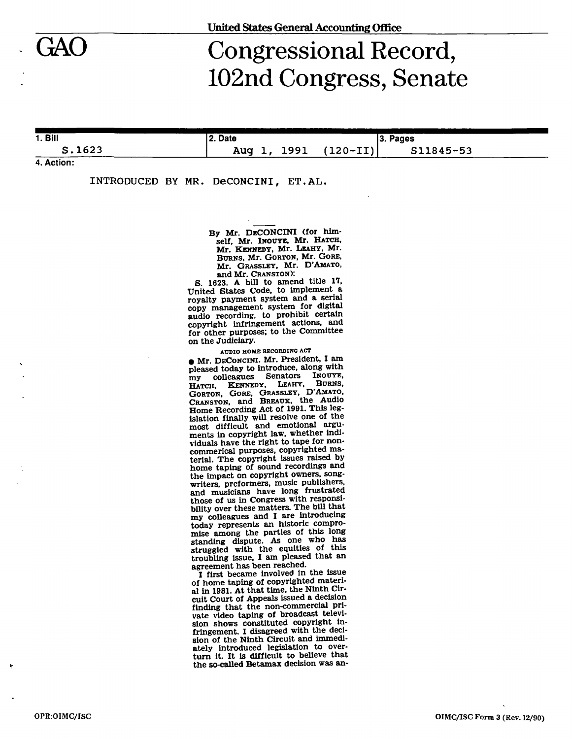# Congressional Record, 102nd Congress, Senate

1. Bill S.1623 2. Date Aug 1, 1991 (120-II) 3. Pages S11845-53

**4. Action:** 

INTRODUCED BY MR. DeCONCINI, ET.AL.

By Mr. DECONCINI (for himself, Mr. INOUYE, Mr. HATCH, Mr. KENNEDY, Mr. LEAHY, Mr. BURNS, Mr. GORTON, Mr. GORE, Mr. GRASSLEY, Mr. D'AMATO, and Mr. CRANSTON):

S. 1623. A bill to amend title 17, United States Code, to implement a royalty payment system and a serial copy management system for digital audio recording, to prohibit certain copyright infringement actions, and for other purposes; to the Committee on the Judiciary.

**AUDIO HOME RECORDING ACT** 

• Mr. DECONCINI. Mr. President, I am pleased today to introduce, along with my colleagues Senators INOUYE, HATCH, KENNEDY, LEAHY, BURNS, GORTON, GORE, GRASSLEY, D'AMATO, CRANSTON, and BREAUX, the Audio Home Recording Act of 1991. This legislation finally will resolve one of the most difficult and emotional arguments in copyright law, whether individuals have the right to tape for noncommerical purposes, copyrighted material. The copyright issues raised by home taping of sound recordings and the impact on copyright owners, songwriters, preformers, music publishers, and musicians have long frustrated those of us in Congress with responsibility over these matters. The bill that my colleagues and I are introducing today represents an historic compromise among the parties of this long standing dispute. As one who has struggled with the equities of this troubling issue, I am pleased that an agreement has been reached.

I first became involved in the issue of home taping of copyrighted material in 1981. At that time, the Ninth Circuit Court of Appeals issued a decision finding that the non-commercial private video taping of broadcast television shows constituted copyright infringement. I disagreed with the decision of the Ninth Circuit and immediately introduced legislation to overturn it. It is difficult to believe that the so-called Betamax decision was an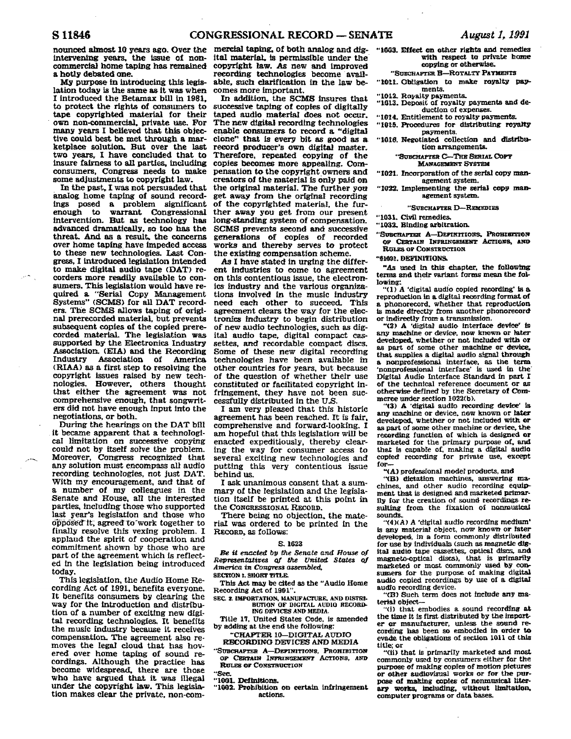nonnced Bhnost **18 years** ago. **Over** the **intervenhut years,** the issue of noncommercial home taping has remained

a hotly debated one.<br> **My purpose in introducing this legislation today is the same as it was when** I introduced the Betamax bill in 1981. to protect the **rights** of consumers to **tape** copyrighted material for their own non-commercial, private **use.** For **many** years I believed that this objec- tive **could** best be met through a **mar**ketplace solution. But over the last two **years,** I have concluded that to insure fairness ta **all** parties, **indudhg**  consumers. Congress needs to make some adjustments to copyright law.

**In** the past. I **was** not **persuaded** that analog home **taping** of sound record**ings** posed a prablem **significant**  warrant Congressional intervention. But as technology **has**  advanced dramatically, so too has the threat. And as a result, the concerns over home taping have impeded access to these new technologies. Last Congress, I introduced legislation intended to **make digital** audio tape **(DAT)** recorders mare readily available to consumers. This legislation would have required a "Serial Copy Management **gystems" (SCMS) for all DAT recorders. The SCMS allows taping of origi**really prevents automaterial, but prevents subsequent copies of the copied prerecorded material. The legislation was supported by the Electronics Industry corded material. The legislation was ital audio tape, digital compact cas-<br>supported by the Electronics Industry settes, and recordable compact discs.<br>Association. (EIA) and the Recording Some of these new digital recordin **(RIAA) as** a first step to resolving the copyright issues raised by new tech-<br>nologies. However, others thought that either the agreement was not comprehensive enough, that songwriters did not have enough input into the negotiations, or both.

During the hearings on the DAT bill it became apparent that a technological limitation on successive copying<br>could not by itself solve the problem.<br>Moreover, Congress recognized that **any** solution **mu&** encompass all audio recordiing teehnoIogfes, not **Just DAT.**  With my encouragement, **and** that of a number of my coHeagues in the Senate and House, all the interested parties, IncIudfng those who supported last year's legislatfon and those who opposebft, agreed to-work together to finally resolve this vexing problem. I applaud the spirit of cooperation **and**  commitment shown by those who are part of the agreement which **is** reflected **In** the legislation being introduced today.

**This** legisiation. the Audio Home Re-It benefits consumers by clearing the way for the introduction and distribution of a number of **exciting** new **digi**tal recording technologies. It benefits the **music** industry because it receives compensation. The agreement also removes the IegaJ cloud **that has hov**ered over home taping **of** sound recordings. Although the practice has become widespread, there are those who have argued that it was illegal under the copyright law. This legislation makes dear the private, non-com-

mercial taping, of both analog and digital material, is permissible under the covyrkht **Isw. As** new and impraved recording **technolodes** become available, such clarification in the law becomes more Important.

In addition, the **SCMS** insures that successive taping of copies of digitally taped audio material does not occur.<br>The new digital recording technologies **The new Wtd** recording technologies enable **consunters** to record a **"digital**  clone" that **is every** bit **as good as a**  record producer's own digital master. Therefore, repeated copying of the capies **becomes** more appealing. **Com**pensation **to** the copyright ownen; and creators of the material is only paid **on**  the original material. The further you **get** away from the original **recording**  of the copyrighted material, the fur-<br>ther away you get from our present long-standing system of compensation. **SCMS** prevents second **and** successive generations of copies of recorded works and thereby serves to protect the existing compensation scheme.

**As** I **have** stated **in urging** the different industries to come to agreement on this contentious issue, the electronics industry and the various organiza- tions **involved** in the music industry need each other to succeed. This agreement clears the way for the **elec**tronics *industry* to begin distribution of new audio technologies, such as digsettes, *and* recordable compact discs. Some of these new digital recording other countries for years, but because of the question of whether their use constituted or facilitated copyright infringement. they have not been successfully distributed in the US.

I am very pleased that this historic agreement **has** been reached. It is fair. comprehensive and forward-looking. I **am** hopeful that thfs legtslation **will** be enacted expeditiously, thereby clearing the **way** for consumer access to several exciting new technologies and putting this very contentious issue behind **us.** 

I **ask** unanimous consent that a sumtion itself be printed at this point in the CONGRESSIONAL RECORD.

**There being** no objection, the material was ordered to be printed in the RECORD, as follows:

#### **S 1023**

*Be* **ft ezurcded by Be** *Senate* **and How of**  *R~mtataves* **a.f** *the United* **States J America tn Congress** *memble&*  **8ECTION 1. SHORT TITLE** 

**Thfs Act may be cited 8s the "Audio Hame Recording Act of 1991".** 

**SEC** *8.* **IMPORTATION, MANUFAWBE. AND DLSTRt-BIJ'TION** OF **DlGlZAL AUDlO RECOBD ING DEVICES AND MEDIA.** 

**n&Ie 17.** Udted **States Code, ls amended** 

**by** *rsdaing* **at the end the following:**  "CRAPTEFt **IOLDIOITAL AUDIO** 

# **RECORDING DEVICES AND MEDIA**

**EXECURDING DEVICES AND MEDIA UILE; OF CERTAIN INFRARREAL CONDUCT**  $\frac{m}{101}$  **tille; or CERTAIN INFRIENCEMENT ACTIONS, AND common RULES OF CONSTRUCTION** 

**"Sec** 

"1001. Definitions.

**'\*l002. Pmbiblbion en certain infringement actlons.** 

**''IfXJ3.** *Hfed* **an other ri&h and remedies**  with respect to private home **copging: or otherarise.** 

# Emmm-rm **B-ROTALTP PAYMWTS**

**"k@(erL. ObUgaCton to make royalty** pap **ments.** 

**"1OLX Ra9dty payment& "L4Jl3. DepQsIt of royalty payments** and **deduction of expenses.** 

**"1014. Entitlement to royalty payments."**<br> **"1015. Procedures for distributing royalty"** psgments.

"1016. Negotiated collection and distribu**tion arrangements.** 

> **'SUBCHAPTER C-THE SERIAL COPY MANAGEMENT SYSTEM**

"1021. Incorporation of the serial copy man**agement system.** 

**'\*tO%a Implenrenklng the miaI copy maw agement system-** 

**"SUBCHAFTER D-REMEDIES** 

**"1031. Civil remedies** 

**"lB3a Blndlng wbltratlon.** 

"SUBCHAPTER A-DEFINITIONS, PROBIBITION<br>OF CERTAIN INFRINGEMENT ACTIONS, AND **RULES OF CONSTRUCTION** 

**"BNEOI. DEWNWEONS** 

**"As used in this chapter, the following terms and their variant forms mean the following** lowing:

**"(1) A 'digital audio copied recording' le a repraduction h a digital recording formrat of a phonorecord. whether that reproduction**  is made directly from another phonorecord or indirectly from a transmission.

**"(161 A 'digit@ audio Interface devfce' is**  sny **maeMne** or **device, new known or bter**  developed, whether or not included with or as part of some other machine or device, that supplies a digital audio signal through a **nonprofessional** interface, as the **term** 'nonprofessional interface' is used in the **MgItnl Audio Interface Standard in part I**  of **the technical reference document or as otherwise defined by the Secretary of Com- meree under section IU22Cb).** 

**"(3) A 'digitah audb recording devke' any** miehhe **ot device. now known or lafar develapeQ whether or not included with or as pcut of some other machine or device,** the marketed for the primary purpose of, and **thaf ia capabb of, making a digital audio copied recerctlng for prfvate use, excent for-** 

**-(A) profdonal rnodef products, and** 

**'YE) &&atfan machines. aaswerhg m9 chines. and other audio recording equip.**  ment that is designed and marketed primar**ily fw the creation** of **sound recordins& re-** *m,&Umg* **from the fixation of** ~nmuslcaI **sounds..** 

**"(4XA) A '\$fgital audio recording** rned'im' **is any material object. now known or later** developed, in a form commonly distributed for use by individuals (such as magnetic dig**itrel audb tape cassettes, optical** &C% **and magneto-optical discs), that is primarily marketed or most commonly used by con**sumers for the purpose of making digital audio copied recordings by use of a digital audio recording device.

**"(B) Such term does not fnclude my ms-** terlal **object-** 

"(i) that embodies a sound recording at the time it is first distributed by the import**the tLrne it is flrst dhtrihuted by the IrnpoPt er or manufactmer, unless the sound re- wdng has been so embodied ika order to**   $e$ vade the obligations of section 1011 of this

"(ii) that is primariIy marketed and most **commonly used by consumers either far the purpme of making copfes of motion pictures or ather sudlovfmal works or for the Wrpose d makhg** eopleg **of nonmnsfd** liter- $\frac{1}{2}$  **works**. **including**. without limitation, **computer programs or data bases.**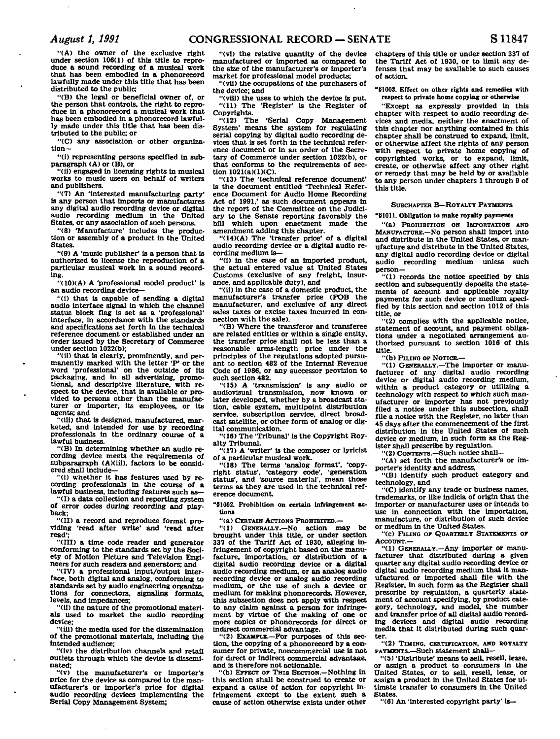**"(A) the owner of the exclusive right**  under section 106(1) of this title to repro**duce a sound recording of a musical work that has been embodied In a phonorecord lawfully made under this title that has been distributed to the public;** 

**"(B) the legal or beneficial owner of, or the person that controls, the right to repro-duce in a phonorecord a musical work that has been embodied in a phonorecord lawfully made under this title that has been distributed to the public; or** 

**"(C) any association or other organization—** 

**"(i) representing persons specified in subparagraph (A) or (B), or** 

**"(ii) engaged in licensing rights in musical works to music users on behalf of writers and publishers.** 

**"(7) An 'Interested manufacturing party' is any person that Imports or manufactures any digital audio recording device or digital audio recording medium in the United States, or any association of such persons.** 

**"(8) 'Manufacture' includes the production or assembly of a product in the United States.** 

**"(0) A 'music publisher\* is a person that is authorized to license the reproduction of a particular musical work in a sound recording.** 

**"(10KA) A 'professional model product' is an audio recording device—** 

**"(i) that is capable of sending a digital audio interface signal in which the channel status block flag is set as a 'professional' Interface, in accordance with the standards and specifications set forth in the technical reference document or established under an order issued by the Secretary of Commerce under section 1022(b);** 

**"(11) that is clearly, prominently, and per-manently marked with the letter 'P\* or the word 'professional' on the outside of its packaging, and in all advertising, promotional, and descriptive literature, with respect to the device, that is available or provided to persons other than the manufacturer or importer, its employees, or its agents; and** 

**"(lii) that is designed, manufactured, marketed, and intended for use by recording professionals in the ordinary course of a lawful business.** 

**"(B) In determining whether an audio recording device meets the requirements of subparagraph (A)(iii), factors to be considered shall Include—** 

**"(1) whether it has features used by recording professionals in the course of a lawful business, including features such as—** 

**"(I) a data collection and reporting system of error codes during recording and playback;** 

**"(II) a record and reproduce format providing 'read after write' and 'read after read';** 

**"(m) a time code reader and generator conforming to the standards set by the Society of Motion Picture and Television Engineers for such readers and generators; and** 

**"(IV) a professional input/output interface, both digital and analog, conforming to standards set by audio engineering organizations for connectors, signaling formats, levels, and impedances;** 

**"(ii) the nature of the promotional materials used to market the audio recording device;** 

**"(ill) the media used for the dissemination of the promotional materials, including the intended audience;** 

**"(iv) the distribution channels and retail outlets through which the device Is disseminated;** 

**"(v) the manufacturer's or importer's price for the device as compared to the manufacturer's or importer's price for digital audio recording devices implementing the Serial Copy Management System;** 

**"(vl) the relative quantity of the device manufactured or imported as compared to the size of the manufacturer's or importer's market for professional model products;** 

**"(vii) the occupations of the purchasers of the device; and** 

**"(vili) the uses to which the device is put.**  "(11) The 'Register' is the Register of **Copyrights.** 

**"(12) The 'Serial Copy Management System' means the system for regulating serial copying by digital audio recording devices that is set forth In the technical reference document or In an order of the Secretary of Commerce under section 1022(b), or that conforms to the requirements of section 1021(a)(1)(C).** 

**"(13) The 'technical reference document' is the document entitled 'Technical Reference Document for Audio Home Recording Act of 1991,' as such document appears in the report of the Committee on the Judiciary to the Senate reporting favorably the bill which upon enactment made the amendment adding this chapter.** 

**"(14)(A) The 'transfer price' of a digital audio recording device or a digital audio recording medium is—** 

**"(i) in the case of an imported product, the actual entered value at United States Customs (exclusive of any freight. Insurance, and applicable duty), and** 

**"(ii) in the case of a domestic product, the manufacturer's transfer price (FOB the manufacturer, and exclusive of any direct sales taxes or excise taxes incurred in connection with the sale).** 

**"(B) Where the transferor and transferee are related entities or within a single entity, the transfer price shall not be less than a reasonable arms-length price under the principles of the regulations adopted pursuant to section 482 of the Internal Revenue Code of 1986, or any successor provision to such section 482.** 

**"(15) A 'transmission' is any audio or audiovisual transmission, now known or later developed, whether by a broadcast station, cable system, multipoint distribution service, subscription service, direct broadcast satellite, or other form of analog or digital communication.** 

**"(16) The 'Tribunal' is the Copyright Royalty Tribunal.** 

**"(17) A 'writer" is the composer or lyricist of a particular musical work.** 

**"(18) The terms 'analog format', "copyright status', 'category code', 'generation status', and 'source material', mean those terms as they are used In the technical reference document.** 

**"51002. Prohibition on certain infringement actions** 

**"(a) CERTAIN ACTIONS PROHIBITED.—** 

**"(1) GENERALLY.—No action may be brought under this title, or under section 337 of the Tariff Act of 1930. alleging infringement of copyright based on the manufacture, importation, or distribution of a digital audio recording device or a digital audio recording medium, or an analog audio recording device or analog audio recording medium, or the use of such a device or medium for making phonorecords. However, this subsection does not apply with respect to any claim against a person for infringement by virtue of the making of one or more copies or phonorecords for direct or indirect commercial advantage.** 

**"(2) EXAMPLE.—For purposes of this section, the copying of a phonorecord by a consumer for private, noncommercial use is not for direct or indirect commercial advantage, and is therefore not actionable.** 

**"(b) EFFECT OF THIS SECTION.—Nothing in this section shall be construed to create or expand a cause of action for copyright infringement except to the extent such a cause of action otherwise exists under other**  **chapters of this title or under section 337 of the Tariff Act of 1930. or to limit any defenses that may be available to such causes of action.** 

181003. Effect on other rights and remedies with **respect to private home copying or otherwise** 

**"Except as expressly provided in this chapter with respect to audio recording devices and media, neither the enactment of this chapter nor anything contained in this chapter shall be construed to expand, limit, or otherwise affect the rights of any person with respect to private home copying of copyrighted works, or to expand, limit, create, or otherwise affect any other right or remedy that may be held by or available to any person under chapters 1 through 9 of this title.** 

# **SUBCHAPTER B—ROYALTY PAYMENTS**

# **"§1011. Obligation to make royalty payments**

**"(a) PROHIBITION ON IMPORTATION AND MANUFACTURE.—No person shall Import into and distribute in the United States, or manufacture and distribute In the United States, any digital audio recording device or digital audio recording medium unless such person—** 

**"(1) records the notice specified by this section and subsequently deposits the statements of account and applicable royalty payments for such device or medium specified by this section and section 1012 of this title, or** 

**"(2) complies with the applicable notice, statement of account, and payment obligations under a negotiated arrangement authorized pursuant to section 1016 of this title.** 

**"(b) PILING OF NOTICE.—** 

**"(1) GENERALLY.—The Importer or manufacturer of any digital audio recording device or digital audio recording medium, within a product category or utilizing a technology with respect to which such manufacturer or importer has not previously filed a notice under this subsection, shall file a notice with the Register, no later than 45 days after the commencement of the first distribution in the United States of such device or medium, in such form as the Register shall prescribe by regulation.** 

**"(2) CONTENTS.—Such notice shall—** 

**"(A) set forth the manufacturer's or importer's identity and address,** 

**"(B) identify such product category and technology, and** 

**"(C) identify any trade or business names, trademarks, or like Indicia of origin that the importer or manufacturer uses or intends to use in connection with the importation, manufacture, or distribution of such device or medium in the United States.** 

**"(c) FILING OF QDAHTERLY STATEMENTS OF ACCOUNT.—** 

**"(1) GENERALLY.—Any importer or manufacturer that distributed during a given quarter any digital audio recording device or digital audio recording medium that it manufactured or imported shall file with the Register, in such form as the Register shall prescribe by regulation, a quarterly statement of account specifying, by product category, technology, and model, the number and transfer price of all digital audio recording devices and digital audio recording media that it distributed during such quarter.** 

**"(2) TIMING, CERTIFICATION, AND ROYALTY PAYMENTS.—Such statement shall—** 

**"(5) 'Distribute' means to sell, resell, lease, or assign a product to consumers in the United States, or to sell, resell, lease, or assign a product in the United States for ultimate transfer to consumers in the United States.** 

**"(6) An 'interested copyright party' is—**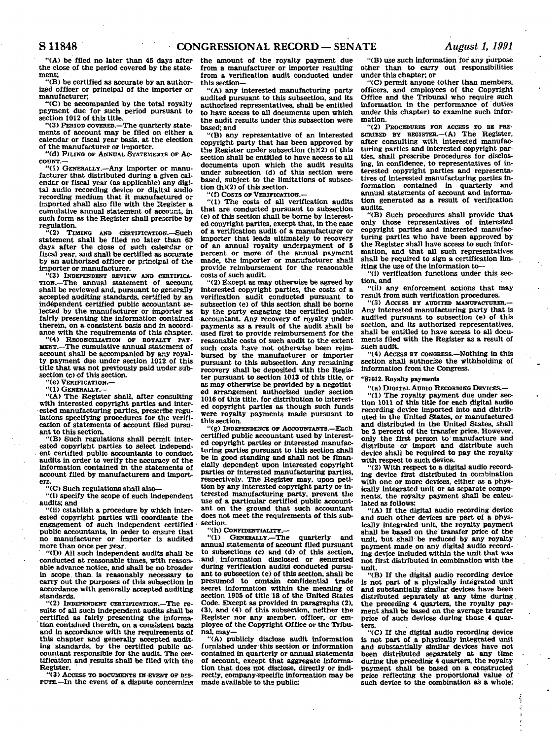**"(A) be filed no later than 45 days after the close of the period covered by the statement;** 

**"(B) be certified as accurate by an authorized officer or principal of the importer or manufacturer;** 

**"(C) be accompanied by the total royalty payment due for such period pursuant to section 1012 of this title.** 

**"(3) PERIOD COVERED.—The quarterly statements of account may be filed on either a calendar or fiscal year basis, at the election of the manufacturer or importer.** 

**"(d) PILING OP ANNUAL STATEMENTS OP AC-COUNT.—** 

**"(I) GENERALLY.—Any importer or manufacturer that distributed during a given calendar or fiscal year (as applicable) any digital audio recording device or digital audio recording medium that it manufactured or imported shall also file with the Register a cumulative annual statement of account, in such form as the Register shall prescribe by regulation.**<br>
"(2) **TIMING** 

**"(2) TIMING AND CERTIFICATION.—Such statement shall be filed no later than 69 days after the close of such calendar or fiscal year, and shall be certified as accurate by an authorized officer or principal of the taporter or manufacturer.** 

**"(3) INDEPENDENT REVIEW AND CERTIFICA-**-The annual statement of account **shall be reviewed and, pursuant to generally accepted auditing standards, certified by an independent certified public accountant selected by the manufacturer or importer as fairly presenting the information contained therein, on a consistent basis and in accordance with the requirements of this chapter.** 

**"(4) RECONCILIATION OP ROYALTY PAY-MENT.—The cumulative annual statement of account shall be accompanied by any royalty payment due under section 1012 of this title that was not previously paid under subsection (c) of this section.** 

**"(e) VERIFICATION.—** 

**"(1) GENERALLY.—** 

**"(A) The Register shall, after consulting with interested copyright parties and interested manufacturing parties, prescribe regulations specifying procedures for the verification of statements of account filed pursuant to this section.** 

**"(B) Such regulations shall permit interested copyright parties to select independent certified public accountants to conduct audits in order to verify the accuracy of the information contained in the statements of account filed by manufacturers and importers.** 

**"(C) Such regulations shall also—** 

**"(1) specify the scope of such independent audits; and** 

**"(ii) establish a procedure by which interested copyright parties will coordinate the engagement of such independent certified public accountants, in order to ensure that no manufacturer or importer is audited more than once per year.** 

**"(D) All such Independent audits shall be**  conducted at reasonable times, with reason**able advance notice, and shall be no broader in scope, than, is reasonably necessary to carry out the purposes of this subsection in accordance with generally accepted auditing standards.** 

**"(2) INDEPENDENT CERTIFICATION.—The results of all such Independent audits shall be certified as fairly presenting the information contained therein, on a consistent basis and in accordance with the requirements of this chapter and generally accepted auditing standards, by the certified public accountant responsible for the audit. The certification and results shall be filed with the** 

**Register. "(3) ACCESS TO DOCUMENTS IN EVENT OF DIS-PUTE.—In the event of a dispute concerning**  **the amount of the royalty payment due from a manufacturer or importer resulting from a verification audit conducted under this section—** 

**"(A) any interested manufacturing party audited pursuant to this subsection, and its authorized representatives, shall be entitled to have access to all documents upon which the audit results under this subsection were based; and** 

**"(B) any representative of an interested copyright party that has been approved by the Register under subsection (hX2) of this section shall be entitled to have access to all documents upon which the audit results under subsection (d) of this section were based, subject to the limitations of subsection (h)(2) of this section.** 

**"(f) COSTS OP VERIFICATION.—** 

**"(1) The costs of all verification audits that are conducted pursuant to subsection (e) of this section shall be borne by interested copyright parties, except that, in the case of a verification audit of a manufacturer or importer that leads ultimately to recovery of an annual royalty underpayment of 5 percent or more of the annual payment made, the importer or manufacturer shall provide reimbursement for the reasonable costs of such audit.** 

**"(2) Except as may otherwise be agreed by interested copyright parties, the costs of a verification audit conducted pursuant to subsection (e) of this section shall be borne by the party engaging the certified public accountant. Any recovery of royalty underpayments as a result of the audit shall be used first to provide reimbursement for the reasonable costs of such audit to the extent such costs have not otherwise been reimbursed by the manufacturer or importer pursuant to this subsection. Any remaining recovery shall be deposited with the Register pursuant to section 1013 of this title, or as may otherwise be provided by a negotiated arrangement authorized under section 1016 of this title, for distribution to interested copyright parties as though such funds were royalty payments made pursuant .to this section.** 

**"(g) INDEPENDENCE OF ACCOUNTANTS.—Each certified public accountant used by interested copyright parties or interested manufacturing parties pursuant to this section shall be in good standing and shall not be financially dependent upon interested copyright parties or interested manufacturing parties, respectively. The Register may, upon petition by any Interested copyright party or interested manufacturing party, prevent the use of a particular certified public accountant on the ground that such accountant does not meet the requirements of this subsection.** 

**"(h) CONFIDENTIALITY.— "(1) GENERALLY.—The quarterly and annual statements of account filed pursuant to subsections (c> and (d) of this section, and. information disclosed or generated during verification audits conducted pursu**ant to subsection (e) of this section, shall be **presumed to contain confidential trade secret information within the meaning of section 1905 of title 18 of the United States Code. Except as provided in paragraphs (2), (3), and (4) of this subsection, neither the Register nor any member, officer, or employee of the Copyright Office or the Tribunal, may—** 

**"(A) publicly disclose audit information furnished under this section or information contained in quarterly or annual statements of account, except that aggregate information that does not disclose, directly or indirectly, company-specific Information may be made available to the public:** 

**"(B) use such information for any purpose other than to carry out responsibilities under this chapter; or** 

**"(C) permit anyone (other than members, officers, and employees of the Copyright Office and the Tribunal who require such Information in the performance of duties under this chapter) to examine such information.** 

**"(2) PROCEDURES FOR ACCESS TO BB PRE-SCRIBED BY REGISTER.—(A) The Register, after consulting with interested manufacturing parties and interested copyright parties, shall prescribe procedures for disclosing, in confidence, to representatives of in-terested copyright parties and representatives of interested manufacturing parties information contained in quarterly and annual statements of account and information generated as a result of verification audits.** 

**"(B) Such procedures shall provide that only those representatives of interested copyright parties and interested manufacturing parties who have been approved by the Register shall have access to such information, and that all such representatives shall be required to sign a certification limiting the use of the information to—** 

**"(i) verification functions under this section, and** 

**"(ii) any enforcement actions that may result from such verification procedures.** 

**"(3) ACCESS BY AUDITED MANUFACTURER.— Any interested manufacturing party that is audited pursuant to subsection (e) of this section, and its authorized representatives, shall be entitled to have access to all documents filed with the Register as a result of such audit.** 

**"(4) ACCESS BY CONGRESS.—Nothing in this section shall authorize the withholding of information from the Congress.** 

**"§1012. Royalty payments** 

**"(a) DIGITAL AUDIO RECORDING DEVICES.—** 

**"(1) The royalty payment due under sec-tion 1011 of this title for each digital audio recording device imported into and distributed in the United States, or manufactured and distributed in the United States, shall be 2 percent of the transfer price. However, only the first person to manufacture and distribute or import and distribute such device shall be required to pay the royalty with respect to such device.** 

**"(2) With respect to a digital audio recording device first distributed in combination with one or more devices, either as a physically integrated unit or as separate components, the royalty payment shall be calculated as follows:** 

**"(A) If the digital audio recording device and such other devices are part of a physically integrated unit, the royalty payment shall be based on the transfer price of the unit, but shall be reduced by any royalty payment made on any digital audio recording device included within the unit that was not first distributed in combination with the unit.** 

**"(B) If the digital audio recording device is not part of a physically integrated unit and substantially similar devices have been distributed separately at any time during. the preceding 4 quarters, the royalty payment shall fee based on the average transfer price of such devices during those 4 quarters.** 

**"(C) If the digital audio recording device is not part of a physically integrated unit and substantially similar devices have not been distributed separately at any time during the preceding 4 quarters, the royalty payment shall be based on a constructed price reflecting the proportional value of such device to the combination as a whole.**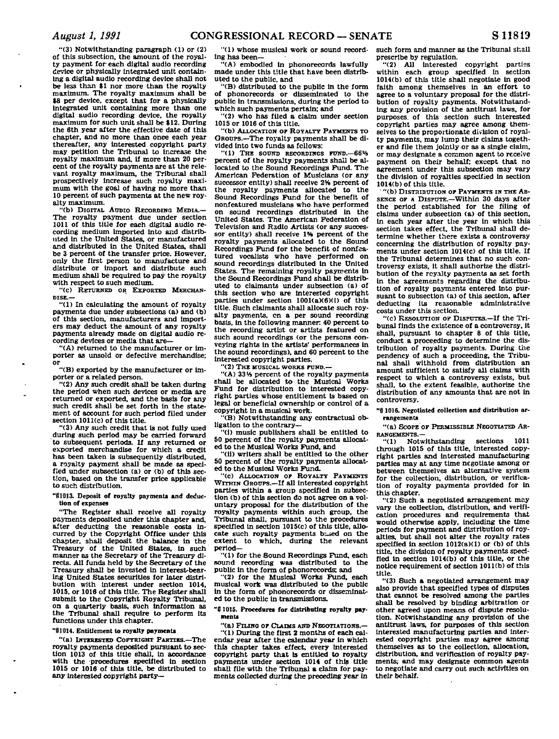**"(3) Notwithstanding paragraph <1) or (2) of this subsection, the amount of the royalty payment for each digital audio recording device or physically Integrated unit containing a digital audio recording device shall not be less than \$1 nor more than the royalty maximum. The royalty maximum shall be \$8 per device, except that for a physically integrated unit containing more than one digital audio recording device, the royalty maximum for such unit shall be \$12. During the 6th year after the effective date of this chapter, and no more than once each year thereafter, any interested copyright party may petition the Tribunal to increase the royalty maximum and. If more than 20 percent of the royalty payments are at the relevant royalty maximum, the Tribunal shall prospectively increase such royalty maximum with the goal of having no more than 10 percent of such payments at the new royalty maximum.** 

**"(b) DIGITAL AUDIO RECORDING MEDIA.— The royalty payment due under section 1011 of this title for each digital audio recording medium Imported into and distributed in the United States, or manufactured and distributed In the United States, shall be 3 percent of the transfer price. However, only the first person to manufacture and distribute or import and distribute such medium shall be required to pay the royalty with respect to such medium.** 

**"(c) RETURNED OR EXPORTED MERCHAN-DISE.—** 

**"(1) In calculating the amount of royalty payments due under subsections (a) and (b) of this section, manufacturers and importers may deduct the amount of any royalty payments already made on digital audio recording devices or media that are—** 

**"(A) returned to the manufacturer or importer as unsold or defective merchandise; or** 

**"(B) exported by the manufacturer or importer or a related person.** 

**"(2) Any such credit shall be taken during the period when such devices or media are returned or exported, and the basis for any such credit shall be set forth in the statement of account for such period filed under section 1011(c) of this title.** 

**"(3) Any such credit that is not fully used during such period may be carried forward to subsequent periods. If any returned or exported merchandise for which a credit has been taken is subsequently distributed, a royalty payment shall be made as specified under subsection (a) or (b) of this section, based on the transfer price applicable to such distribution.** 

"\$1013. Deposit of royalty payments and deduc**tion of expenses** 

**"The Register shall receive all royalty payments deposited under this chapter and, after deducting the reasonable costs incurred by the Copyright Office under this chapter, shall deposit the balance in the Treasury of the United States, In such manner as the Secretary of the Treasury directs. All funds held by the Secretary of the Treasury shall be Invested in interest-bearing United States securities for later distribution with interest under section 1014, 1015, or 1016 of this title. The Register shall submit to the Copyright Royalty Tribunal, on a quarterly basis, such Information as the Tribunal shall require to perform its functions under this chapter.** 

## **"§1014. Entitlement to royalty payments**

**"(a) INTERESTED COPYRIGHT PARTIES.—The royalty payments deposited pursuant to section 1013 of this title shall, in accordance with the procedures specified In section 1015 or 1016 of this title, be distributed to any Interested copyright party—** 

**"(1) whose musical work or sound recording has been—** 

**"(A) embodied In phonorecords lawfully made under this title that have been distributed to the public, and** 

**"(B) distributed to the public in the form of phonorecords or disseminated to the public in transmissions, during the period to which such payments pertain; and** 

**"(2) who has filed a claim under section 1015 or 1016 of this title. "(b) ALLOCATION OF ROYALTY PAYMENTS TO** 

**GROUPS.—The royalty payments shall be divided into two funds as follows:** 

**"(1) THE SOUND RECORDINGS PUND.—66% percent of the royalty payments shall be allocated to the Sound Recordings Fund. The American Federation of Musicians (or any successor entity) shall receive 2% percent of the royalty payments allocated to the Sound Recordings Fund for the benefit of nonfeatured musicians who have performed on sound recordings distributed in the United States. The American Federation of Television and Radio Artists (or any successor entity) shall receive 1% percent of the royalty payments allocated to the Sound Recordings Fund for the benefit of nonfeatured vocalists who have performed on sound recordings distributed In the United States. The remaining royalty payments In the Sound Recordings Fund shall be distributed to claimants under subsection (a) of this section who are interested copyright parties under section 1001(a)(6)(i) of this title. Such claimants shall allocate such royalty payments, on a per sound recording basis, in the following manner: 40 percent to the recording artist or artists featured on such sound recordings (or the persons conveying rights in the artists' performances In the sound recordings), and 60 percent to the interested copyright parties.** 

**"(2) THE MUSICAL WORKS FUND.—** 

**"(A) 33 V4 percent of the royalty payments shall be allocated to the Musical Works Fund for distribution to interested copyright parties whose entitlement is based on legal or beneficial ownership or control of a copyright in a musical work.** 

**"(B) Notwithstanding any contractual obligation to the contrary—** 

**"(1) music publishers shall be entitled to 50 percent of the royalty payments allocated to the Musical Works Fund, and** 

**"(ii) writers shall be entitled to the other 50 percent of the royalty payments allocated to the Musical Works Fund.** 

**"(c) ALLOCATION OP ROYALTY PAYMENTS**  WITHIN GROUPS.<sup>-If</sup> all interested copyright **parties within a group specified in subsection (b) of this section do not agree on a voluntary proposal for the distribution of the royalty payments within such group, the Tribunal shall, pursuant to the procedures specified in section 1015(c) of this title, allocate such royalty payments based on the extent to which, during the relevant period—** 

**"(1) for the Sound Recordings Fund, each sound recording was distributed to the public In the form of phonorecords; and** 

**"(2) for the Musical Works Fund, each musical work was distributed to the public in the form of phonorecords or disseminated to the public in transmissions.** 

**"81015. Procedures for distributing royalty payments** 

**"(a) FILING OP CLAIMS AND NEGOTIATIONS.—** 

**"(1) During the first 2 months of each calendar year after the calendar year In which this chapter takes effect, every interested copyright party that Is entitled to royalty payments under section 1014 of this title shall file with the Tribunal a claim for payments collected during the preceding year in** 

**such form and manner as the Tribunal shall prescribe by regulation.** 

**"(2) All interested copyright parties within each group specified in section 1014(b) of this title shall negotiate in good faith among themselves In an effort to agree to a voluntary proposal for the distribution of royalty payments. Notwithstanding any provision of the antitrust laws, for purposes, of this section such interested copyright parties may agree among themselves to the proportionate division of royalty payments, may lump their claims together and file them jointly or as a single claim, or may designate a common agent to receive payment on their behalf; except that no agreement under this subsection may vary the division of royalties specified In section 1014(b) of this title.** 

**"(b) DISTRIBUTION OP PAYMENTS IN THE AB-SENCE OF A DISPUTE.—Within 30 days after the period established for the filing of claims under subsection (a) of this section, in each year after the year In which this section takes effect, the Tribunal shall determine whether there exists a controversy concerning the distribution of royalty payments under section 1014(c) of this title. If the Tribunal determines that no such controversy exists, it shall authorize the distribution of the royalty payments as set forth in the agreements regarding the distribution of royalty payments entered Into pursuant to subsection (a) of this section, after deducting its reasonable administrative costs under this section.** 

**"(c) RESOLUTION OP DISPUTES.—If the Tribunal finds the existence of a controversy, it shall, pursuant to chapter 8 of this title, conduct a proceeding to determine the distribution of royalty payments. During the pendency of such a proceeding, the Tribu-nal shall withhold from distribution an amount sufficient to satisfy all claims with respect to which a controversy exists, but shall, to the extent feasible, authorize the distribution of any amounts that are not in controversy.** 

**"§ 1016. Negotiated collection and distribution arrangements** 

**"(a) SCOPE OF PERMISSIBLE NEGOTIATED AR-RANGEMENTS.—** 

**"(1) Notwithstanding sections 1011 through 1015 of this title, interested copyright parties and interested manufacturing parties may at any time negotiate among or between themselves an alternative system for the collection, distribution, or verification of royalty payments provided for In this chapter.** 

**"(2) Such a negotiated arrangement may vary the collection, distribution, and verification procedures and requirements that would otherwise apply, including the time periods for payment and distribution of royalties, but shall not alter the royalty rates specified In section 1012(a)(1) or (b) of this title, the division of royalty payments specified In section 1014(b) of this title, or the notice requirement of section 1011(b) of this title.** 

**"(3) Such a negotiated arrangement may also provide that specified types of disputes that cannot be resolved among the parties shall be resolved by binding arbitration or other agreed upon means of dispute resolution. Notwithstanding any provision of the antitrust laws, for purposes of this section interested manufacturing parties and Interested copyright parties may agree among themselves as to the collection, allocation, distribution, and verification of royalty payments, and may designate common agents to negotiate and carry out such activities on their behalf.**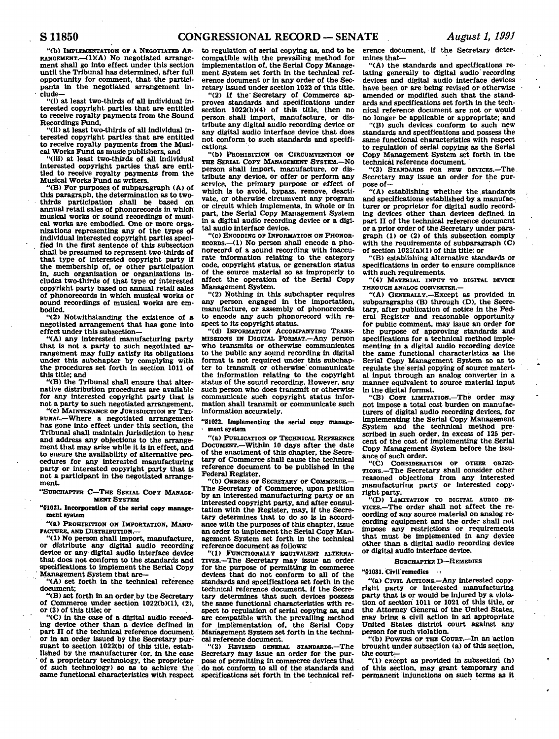**"(b) IMPLEMENTATION or A NEGOTIATED AR-RANGEMENT.** (1)(A) No negotiated arrange**ment shall go into effect under this section until the Tribunal has determined, after full opportunity for comment, that the partici-pants in the negotiated arrangement in- • elude—** 

**"(1) at least two-thirds of all Individual interested copyright parties that are entitled to receive royalty payments from the Sound Recordings Fund.** 

**"(ii) at least two-thirds of all individual interested copyright parties that are entitled to receive royalty payments from the Musical Works Fund as music publishers, and** 

**"(ill) at least two-thirds of all individual Interested copyright parties that are entitled to receive royalty payments from the Musical Works Fund as writers.** 

**"(B) For purposes of subparagraph (A) of this paragraph, the determination as to two**thirds participation shall be based **annual retail sales of phonorecords in which musical works or sound recordings of musical works are embodied. One or more organizations representing any of the types of individual interested copyright parties specified in the first sentence of this subsection shall be presumed to represent two-thirds of that type of interested copyright party If the membership of, or other participation in. such organization or organizations includes two-thirds of that type of interested copyright party based on annual retail sales of phonorecords in which musical works or sound recordings of musical works are embodied.** 

**"(2) Notwithstanding the existence of a negotiated arrangement that has gone into effect under this subsection—** 

**"(A) any interested manufacturing party that is not a party to such negotiated arrangement may fully satisfy its obligations under this subchapter by complying with the procedures set forth in section 1011 of this title; and** 

**"(B) the Tribunal shall ensure that alternative distribution procedures are available for any interested copyright party that is not a party to such negotiated arrangement.** 

**"(c) MAINTENANCE OF JURISDICTION BT TRI-BUNAL.—Where a negotiated arrangement has gone into effect under this section, the Tribunal shall maintain jurisdiction to hear and address any objections to the arrangement that may arise while It is in effect, and to ensure the availability of alternative procedures for any interested manufacturing party or interested copyright party that is not a participant In the negotiated arrangement.** 

#### **"SUBCHAPTER C—THE SERIAL COPT MANAGE-MENT SYSTEM**

**"§1021. Incorporation of the serial copy management system** 

**"(a) PROHIBITION ON IMPORTATION, MANU-FACTURE, AND DISTRIBUTION.—** 

**"(1) No person shall import, manufacture, or distribute any digital audio recording device or any digital audio interface device that does not conform to the standards and specifications to Implement the Serial Copy Management System that are—** 

**"(A) set forth In the technical reference document;** 

**"(B) set forth in an order by the Secretary of Commerce under section 1022(b)(1), (2), or (3) of this title; or** 

**"(C) In the case of a digital audio recording device other than a device defined in part II of the technical reference document or in an order issued by the Secretary pursuant to section 1022(b) of this title, established by the manufacturer (or, in the case of a proprietary technology, the proprietor of such technology) so as to achieve the same functional characteristics with respect**  **to regulation of serial copying as, and to be compatible with the prevailing method for implementation of, the Serial Copy Management System set forth in the technical reference document or In any order of the Secretary issued under section 1022 of this title.** 

**"(2) If the' Secretary of Commerce approves standards and specifications under section 1022(b)(4) of this title, then no person shall Import, manufacture, or distribute any digital audio recording device or any digital audio interface device that does not conform to such standards and specifications.** 

**"(b) PROHIBITION ON CIRCUMVENTION OF THE SERIAL COPT MANAGEMENT SYSTEM.—NO person shall import, manufacture, or distribute any device, or offer or perform any service, the primary purpose or effect of which is to avoid, bypass, remove, deactivate, or otherwise circumvent any program or circuit which implements. In whole or In part, the Serial Copy Management System in a digital audio recording device or a digital audio interface device.** 

**"(c) ENCODING OF INFORMATION ON PHONOR-ECORDS.—(1) No person shall encode a phonorecord of a sound recording with inaccurate information relating to the category code, copyright status, or generation status of the source material so as Improperly to affect the operation of the Serial Copy Management System.** 

**"(2) Nothing In this subchapter requires any person engaged In the importation, manufacture, or assembly of phonorecords to encode any such phonorecord with respect to its copyright status.** 

**"(d) INFORMATION ACCOMPANYING TRANS-MISSIONS IN DIGITAL FORMAT.—Any person who transmits or otherwise communicates to the public any sound recording in digital format is not required under this subchapter to transmit or otherwise communicate the information relating to the copyright status of the sound recording. However, any such person who does transmit or otherwise communicate such copyright status information shall transmit or communicate such Information accurately.** 

**"§1022. Implementing the serial copy manage- - ment system** 

**"(a) PUBLICATION OF TECHNICAL REFERENCE DOCUMENT.—Within 10 days after the date of the enactment of this chapter, the Secretary of Commerce shall cause the technical reference document to be published in the Federal Register.** 

**"(b) ORDERS OF SECRETARY OF COMMERCE.— The Secretary of Commerce, upon petition by an Interested manufacturing party or an interested copyright party, and after consultation with the Register, may, if the Secretary determines that to do so Is In accordance with the purposes of this chapter, issue an order to implement the Serial Copy Management System set forth in the technical reference document as follows:** 

**"(1) FUNCTIONALLY EQUIVALENT ALTERNA-TIVES.—The Secretary may issue an order for the purpose of permitting in commerce devices that do hot conform to all of the standards and specifications set forth In the technical reference document. If the Secretary determines that such devices possess the same functional characteristics with respect to regulation of serial copying as, and are compatible with the prevailing method for implementation of, the Serial Copy Management System set forth in the technical reference document.** 

**"(2) REVISED GENERAL STANDARDS.—The Secretary may Issue an order for the purpose of permitting In commerce devices, that '. do not conform to all of the standards and specifications set forth in the technical ref-** **erence document, If the Secretary determines that—** 

**"(A) the standards and specifications relating generally to digital audio recording devices and digital audio interface devices have been or are being revised or otherwise amended or modified such that the standards and specifications set forth in the technical reference document are not or would no longer be applicable or appropriate; and** 

**"(B) such devices conform to such new standards and specifications and possess the same functional characteristics with respect to regulation of serial copying as the Serial Copy Management System set forth in the technical reference document.** 

**"(3) STANDARDS FOR NEW DEVICES.—The. Secretary may issue an order for the purpose of—** 

**"(A) establishing whether the standards and specifications established by a manufacturer or proprietor for digital audio recording devices other than devices defined, in part II of the technical reference document or a prior order of the Secretary under paragraph (1) or (2) of this subsection comply with the requirements of subparagraph (C) of section 1021(a)(1) of this title; or** 

**"(B) establishing alternative standards or specifications in order to ensure compliance with such requirements.** 

**"(4) MATERIAL INPUT TO DIGITAL DEVICE THROUGH ANALOG CONVERTER.—** 

**"(A) GENERALLY.—Except as provided in**  subparagraphs (B) through (D), the Secretary, after publication of notice in the Fed**eral Register and reasonable opportunity for public comment, may issue an order for the purpose of approving standards and specifications for a technical method Implementing in a digital audio recording device the same functional characteristics as the Serial Copy Management System so as to**  regulate the serial copying of source materi**al input through an analog converter In a manner equivalent to source material input in the digital format.** 

**"(B) COST LIMITATION.—The order may cot impose a total cost burden on manufacturers of digital audio recording devices, for Implementing the Serial Copy Management System and the technical method prescribed in such order, In excess of 125 percent of the cost of Implementing the.Serial Copy Management System before the issuance of such order.** 

**"(C) CONSIDERATION OF OTHER OBJEC-TIONS.—The Secretary shall consider other reasoned objections from any interested manufacturing party or interested copyright party.** 

**"(D) LIMITATION TO DIGITAL AUDIO DE-VICES.—The order shall not affect the recording of any source material on analog recording equipment and the order shall not Impose any restrictions or requirements that must be implemented In any device other than a digital audio recording device or digital audio interface device.** 

#### **SUBCHAPTER D—REMEDIES**

**"§1031. Civil remedies •** 

**"(a) Crvn. ACTIONS.—Any interested copyright party or Interested manufacturing party that is or would be injured by a violation of section 1011 or 1021 of this title, or the Attorney General of the United States, may bring a civil action In ah appropriate United States district court against any person for such violation.** 

**"(b) POWERS OF THE COURT.—In an action brought under subsection (a) of this section,**  the court-

**"(1) except as provided In subsection (h) of this section, may grant temporary and permanent injunctions on such terms as it**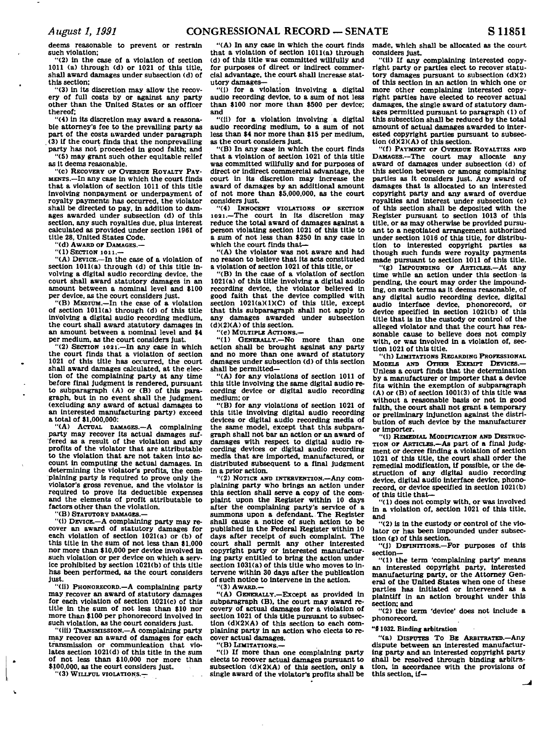**deems reasonable to prevent or restrain such violation;** 

**"(2) in the case of a violation of section 1011 (a) through (d) or 1021 of this title, shall award damages under subsection (d) of this section;** 

**"(3) in its discretion may allow the recovery of full costs by or against any party other than the United States or an officer thereof;** 

**"(4) in its discretion may award a reasonable attorney's fee to the prevailing party as part of the costs awarded under paragraph (3) If the court finds that the nonprevailing party has not proceeded in good faith; and "(5) may grant 3uch other equitable relief** 

**as it deems reasonable.** 

**"(c) RECOVERY OF OVERDUE ROYALTY PAY-MENTS.—In any case in which the court finds that a violation of section 1011 of this title involving nonpayment or underpayment of royalty payment!: has occurred, the violator shall be directed to pay, In addition to damages awarded under subsection (d) of this section, any such royalties due, plus interest calculated as provided under section 1961 of title 28, United States Code.** 

**"(d) AWARD OP DAMAGES.—** 

**"(1) SECTION ion.—** 

**"(A) DEVICE.—In the case of a violation of section 1011(a) through (d) of this title involving a digital audio recording device, the court shall award statutory damages in an amount between a nominal level and \$100 per device, as the court considers Just.** 

**"(B) MEDIUM.—In the case of a violation of section 1011(a) through (d) of this title involving a digital audio recording medium, the court shall award statutory damages in an amount between a nominal level and \$4 per medium, as the court considers Just.** 

**"(2) SECTION 1021'.—In any case In which the court finds that a violation of section 1021 of this title has occurred, the court shall award damages calculated, at the election of the complaining party at any time before final judgment is rendered, pursuant to subparagraph (A) or (B) of this para-graph, but in no event shall the Judgment (excluding any award of actual damages to an interested manufacturing party) exceed a total of \$1,000,000:** 

**"(A) ACTUAL DAMAGES.—A complaining party may recover its actual damages suffered as a result of the violation and any profits of the violator that are attributable to the violation that are not taken into' account in computing the actual damages. In determining the violator's profits, the complaining party is required to prove only the violator's gross revenue, and the violator is required to prove its deductible expenses and the elements of profit attributable to factors other than the violation.** 

**"(B) STATUTORY DAMAGES.—** 

**"(i) DEVICE.—A complaining party may recover an award of statutory damages for each violation of section 1021(a) or (b) of this title in the sum of not less than \$1,000 nor more than \$10,000 per device involved in such violation or per device on which a service prohibited by section 1021(b) of this title has been performed, as the court considers just.** 

**"(ii) PHONORECORD.—A complaining party may recover an award of statutory damages for each violation of section 1021(c) of this title in the sum of not less than \$10 nor more than \$100 per phonorecord involved in such violation, as the court considers Just.** 

**"(iii) TRANSMISSION.—A complaining party may recover an award of damages for each transmission or communication that violates section 1021(d) of this title in the sum of not less than \$10,000 nor more than \$100,000, as the court considers Just.** 

**"(3) WILLFUL VIOLATIONS.—** 

**"(A) In any case in which the court finds that a violation of section 1011(a) through (d) of this title was committed willfully and for purposes of direct or indirect commercial advantage, the court shall Increase statutory damages—** 

**"(i) for a violation involving a digital audio recording device, to a sum of not less than \$100 nor more than \$500 per device; and** 

**"(11) for a violation involving a digital audio recording medium, to a sum of not less than \$4 nor more than \$15 per medium,**  as the court considers just.

**"(B) In any case in which the court finds that a violation of section 1021 of this title was committed willfully and for purposes of direct or indirect commercial advantage, the court in its discretion may Increase the award of damages by an additional amount of not more than \$5,000,000, as the court considers Just.** 

**"(4) INNOCENT VIOLATIONS OF SECTION 10a i.—The court in its discretion may reduce the total award of damages against a person violating section 1021 of this title to a sum of not less than \$250 in any case in which the court finds that—** 

**"(A) the violator was not aware and had no reason to believe that its acts constituted a violation of section 1021 of this title, or** 

**"(B) in the case of a violation of section 1021(a) of this title Involving a digital audio recording device, the violator believed in good faith that the device complied with section 1021(a)(1)(C) of this title, except that this subparagraph shall not apply to any damages awarded under subsection (d)(2)(A) of this section.** 

**"(e) MULTIPLE ACTIONS.—** 

**"(1) GENERALLY.—No more than one action shall be brought against any party and no more than one award of statutory damages under subsection (d) of this section shall be permitted—** 

**"(A) for any violations of section 1011 of this title Involving the same digital audio recording device or digital audio recording medium; or** 

**"(B) for any violations of section 1021 of this title involving digital audio recording devices or digital audio recording media of the same model, except that this subparagraph shall not bar an action or an award of damages with respect to digital audio recording devices or digital audio recording media that are imported, manufactured, or distributed subsequent to a final Judgment in a prior action.** 

**"(2) NOTICE AND INTERVENTION.—Any complaining party who brings an action under this section shall serve a copy of the complaint upon the Register within 10 days after the complaining party's service of a**  summons upon a defendant. The Register **shall cause a notice of such action to be published in the Federal Register within 10 days after receipt of such complaint. The court shall permit any other Interested copyright party or interested manufacturing party entitled to bring the action under section 1031(a) of this title who moves to intervene within 30 days after the publication of such notice to Intervene in the action.** 

**"(3) AWARD.—** 

**"(A) GENERALLY.—Except as provided in subparagraph (B), the court may award recovery of actual damages for a violation of section 1021 of this title pursuant to subsection (d)(2)(A) of this section to each complaining party in an action who elects to recover actual damages.** 

**"(B) LIMITATIONS.—** 

**"(i) If more than one complaining party elects to recover actual damages pursuant to subsection (dX2)(A) of this section, only a single award of the violator's profits shall be**  **made, which shall be allocated as the court, considers Just.** 

**"(ii) If any complaining interested copyright party or parties elect to recover statutory damages pursuant to subsection (d)(2) of this section in an action in which one or more other complaining interested copyright parties have elected to recover actual damages, the single award of statutory damages permitted pursuant to paragraph (1) of this subsection shall be reduced by the total amount of actual damages awarded to interested copyright parties pursuant to subsec-tion (d)(2)(A) of this section.** 

**"(f) PAYMENT OP OVERDUE ROYALTIES AND DAMAGES.—The court may allocate any award of damages under subsection (d) of this section between or among complaining parties as it considers Just. Any award of damages that is allocated to an interested copyright party and any award of overdue royalties and interest under subsection (c) of this section shall be deposited with the Register pursuant to section 1013 of this title, or as may otherwise be provided pursuant to a negotiated arrangement authorized under section 1016 of this title, for distribution to Interested copyright parties as though such funds were royalty payments made pursuant to section 1011 of this title.** 

**"(g) IMPOUNDING OP ARTICLES.—At any time while an action under this section is pending, the court may order the impounding, on such terms as it deems reasonable, of any digital audio recording device, digital audio interface device, phonorecord, or device specified In section 1021(b) of this title that Is in the custody or control of the alleged violator and that the court has reasonable cause to believe does not comply with, or was Involved In a violation of, section 1021 of this title.** 

**"(h) LIMITATIONS REGARDING PROFESSIONAL MODELS AND OTHER EXEMPT DEVICES Unless a court finds that the determination by a manufacturer or importer that a device fits within the exemption of subparagraph (A) or (B) of section 1001(3) of this title was without a reasonable basis or not in good faith, the court shall not grant a temporary or preliminary Injunction against the distribution of such device by the manufacturer or importer.** 

**"(1) REMEDIAL MODIFICATION AND DESTRUC-TION OP ARTICLES.—As part of a final judgment or decree finding a violation of section 1021 of this title, the court shall order the remedial modification. If possible, or the destruction of any digital audio recording device, digital audio Interface device, phonorecord, or device specified in section 1021(b) of this title that—** 

**"(1) does not comply with, or was involved In a violation of, section 1021 of this title, and** 

**"(2) is in the custody or control of the violator or has been Impounded under subsection (g) of this section.** 

**"(J) DEFINITIONS.—For purposes of this section—** 

**"(1) the term 'complaining party\* means an Interested copyright party, interested manufacturing party, or the Attorney General of the United States when one of these parties has Initiated or intervened as a plaintiff in an action brought under this section; and** 

**"(2) the term 'device' does not include a phonorecord.** 

## **"91032. Binding arbitration**

**"(a) DISPUTES TO BE ARBITRATED.—Any dispute between an interested manufacturing party and an interested copyright party shall be resolved through binding arbitration, in accordance with the provisions of this section, if—**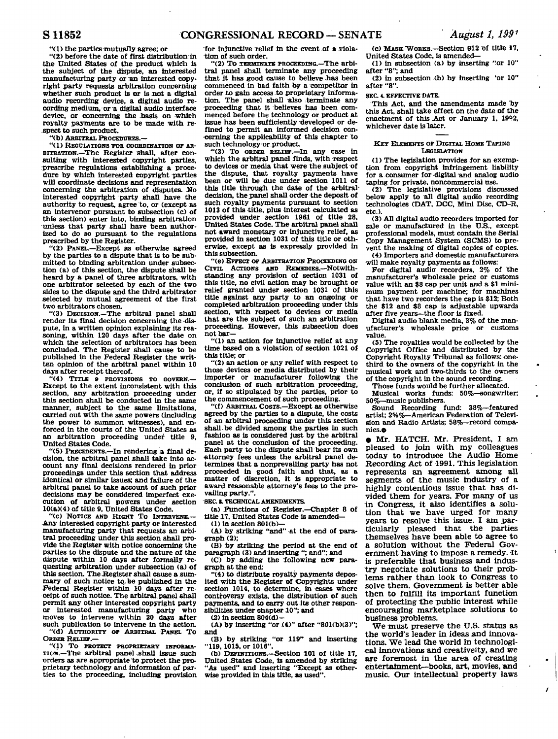**"(i) the parties mutually agree; or** 

**"(2) before the date of first distribution in the United States of the product which is the subject of the dispute, an interested manufacturing party or m interested copyright party requests arbitration concerning whether such product is or is not a digital audio recording device, a digital audio recording medium, or a digital audio interface**  device, or concerning the basis on which **royalty payments are to be made with respect to such product.** 

**"(b) ARBITRAL PROCEDURES.—** 

**"(1) REGULATIONS TOB COORDINATION or AR-BITRATION.—The Register shall, after consulting with interested copyright parties, prescribe regulations establishing a procedure by which interested copyright parties will coordinate decisions and representation concerning the arbitration of disputes.** *No*  **interested copyright party shall have the authority to request, agree to, or (except as an lntervenor pursuant to subsection (c) of this section) enter into, binding arbitration unless that party shall have been authorized to do so pursuant to the regulations prescribed by the Register.** 

**"(2) PANEL.—Except as otherwise agreed by the parties to a dispute that Is to be submitted to binding arbitration under subsection (a) of this section, the dispute shall be heard by a panel of three arbitrators, with one arbitrator selected by each of the two sides to the dispute and the third arbitrator selected by mutual agreement of the first two arbitrators chosen.** 

**"(3) DECISION.—The arbitral panel shall render its final decision concerning the dispute, in a written opinion explaining its reasoning, within 120 days after the date on which the selection of arbitrators has been concluded. The Register shall cause to be published in the Federal Register the written opinion of the arbitral panel within 10 days after receipt thereof.** 

**"(4) TITLE S PROVISIONS TO GOVERN.— Except to the extent inconsistent with this section, any arbitration proceeding under this section shall be conducted in the same manner, subject to the same limitations, carried out with the same powers (including the power to summon witnesses), and enforced in the courts of the United States as an arbitration proceeding under title 9, United States Code.** 

**"(5) PRECEDENTS.—In rendering a final decision, the arbitral panel snail take into account any final decisions rendered in prior proceedings under this section that address identical or similar issues; and failure of the arbitral panel to take account of such prior decisions may be considered imperfect execution of arbitral powers under section 10(a)(4) of title 9, United States Code.** 

**"(c) NOTICE AND RIGHT To INTERVENE.— -Any interested copyright party or interested manufacturing party that requests an arbitral proceeding under this section shall provide the Register with notice concerning the parties to the dispute and the nature of the dispute within 10 days after formally requesting arbitration under subsection (a) of**  this section. The Register shall cause a sum**mary of such notice to, be published in the Federal Register within 10 days after receipt of such notice. The arbitral panel shall permit any other interested copyright party or interested manufacturing party who moves to Intervene within 20 days after such publication to intervene in the action. "(d) AUTHORITY OF ARBITRAL PANEL TO ORDER RELIEF.—** 

"(1) TO PROTECT PROPRIETARY INFORMA-**Tioii.—The arbitral panel shall issue such orders as are appropriate to protect the proprietary technology and information of parties to the proceeding, including provision** 

for injunctive relief in the event of a viola**tion of such order.** 

**"(2) To TERMINATE PROCEEDIBG.—The arbitral panel shall terminate any proceeding**  that it has good cause to believe has been **commenced In bad faith by a competitor in order to gain access to proprietary information. The panel shall also terminate any proceeding that it believes has been commenced before the technology or product at**  issue has been sufficiently developed or de**fined to permit an informed decision concerning the applicability of this chapter to such technology-or product.** 

**"(3) To ORDER RELIEF.—In any case in which the arbitral panel finds, with respect to devices or media that were the subject of the dispute, that royalty payments have been or will be due under section 1011 of this title through the date of the arbitraldecision, the panel shall order the deposit of such royalty payments pursuant to section 1013 of this title, plus interest calculated as provided under section 1961 of title 28, United States Code. The arbitral panel shall not award monetary or Injunctive relief, as provided in section 1031 of this title or otherwise, except as is expressly provided in this subsection.** 

**"(e) EFFECT OF ARBITRATION PROCEEDING ON CIVIL ACTIONS AND REMEDIES.—Notwithstanding any provision of section 1031 of this title, no civil action may be brought or relief granted under section 1031 of this title against any party to an ongoing or completed arbitration proceeding under this section, with respect to devices or media that are the subject of such an arbitration proceeding. However, this subsection does not bar—** 

**"(1) an action for injunctive relief at any time based on a violation of section 1021 of this title; or** 

**"(2) an action or any relief with respect to those devices or media distributed by their importer or manufacturer following the conclusion of such arbitration proceeding, or, if so stipulated by the parties, prior to the commencement of such proceeding.** 

**"(f) ARBITRAL COSTS.—Except as otherwise agreed by the parties to a dispute, the costs of an arbitral proceeding under this section [shall.be d](http://shall.be)ivided among the parties in such**  fashion as is considered just by the arbitral **panel at the conclusion of the proceeding. Each party to the dispute shall bear Its own Attorney fees unless the arbitral panel determines that a nonprevailing party has not proceeded in good faith and that, as a matter of discretion, it is appropriate to award reasonable attorney's fees to the prevailing party.".** 

**SEC. I. TECHNICAL AMENDMENTS.** 

**(a) functions of Register.—Chapter 8 of title 17, United States Code is amended—** 

**CD in section 801(b)—** 

**(A) by striking "and" at the end of paragraph (2);** 

**(B) by striking the period at the end of paragraph (3) and inserting "; and"; and** 

**(C) by adding the following new paragraph at the end:** 

**"(4) to distribute royalty payments deposited with the Register of Copyrights under section 1014, to determine, in cases where controversy exists, the distribution of such payments, and to carry out its other responsibilities under chapter 10"; and** 

**(2) in section 804(d)—** 

**(A) by inserting "or (4)" after "801(b)(3)"; And** 

**(B) by striking "or 119" and inserting "119. 1015, or 1016".** 

**(b) DEFINITIONS.—Section 101 of title 17, United States Code, is amended by striking "As used" and Inserting "Except as otherwise provided in this title, as used".** 

**(c) MASK "WORKS.—Section 912 of title 17, United States Code, is amended—** 

**(1) in subsection (a) by inserting "or 10" after "8"; and** 

**(2) in subsection (b) by inserting \*or 10" after "8".** 

#### **SEC. 4. EFFECTIVE BATE.**

This Act, and the amendments made by **this Act, shall take effect on the date of the**  enactment of this Act or January 1, 1992, **whichever date is later.** 

#### **KEY ELEMENTS OF DIGITAL HOME TAPING LEGISLATION**

**(1) The legislation provides for an exemption from copyright Infringement liability for a consumer for digital and analog audio taping for private, noncommercial use.** 

**(2) The legislative provisions discussed below apply to all digital audio recording technologies (DAT, DCC, Mini Disc, CD-R, etc.).** 

**(3) All digital audio recorders imported for sale or manufactured in the U.S., except professional models, must contain the Serial Copy Management System (SCMS) to prevent the making of digital copies of copies. (4) Importers and domestic manufacturers** 

**will make royalty payments as follows:** 

**For digital audio recorders, 2% of the manufacturer's wholesale price or customs value with an \$8 cap per unit and a \$1 minimum payment per machine; for machines that have two recorders the cap is \$12; Both the \$12 and \$8 cap is adjustable upwards after five years—the floor is fixed.** 

**Digital audio blank media, 3% of the manufacturer's wholesale price or customs value.** 

**(5) The royalties would be collected by the Copyright Office and distributed by the Copyright Royalty Tribunal as follows: onethird to the owners of the copyright in the musical work and two-thirds to the owners of the copyright in the sound recording.** 

**Those funds would be further allocated. Musical works funds: 50%—songwriter; 50%—music publishers.** 

**Sound Recording fund: 38%—featured artist; 2%%—American Federation of Television and Radio Artists; 58%—record companies.e** 

**• Mr. HATCH. Mr. President, I am**  pleased to join with my colleagues **today t o introduce th e Audio Home Recording Act of 1991. This legislation represents an agreement among all segments of the music industry of a**  highly contentious issue that has divided them for years. For many of us **1n Congress, it also identifies a solu**tion that we have urged for many years to resolve this issue. I am particularly pleased that the parties **themselve s have been able to agree t o a solution without the Federal Gov**ernment having to impose a remedy. It is preferable that business and industry negotiate solutions to their problems rather than look to Congress to **solve them. Government is better able the n t o fulfill its important function of protecting the public interest while encouraging marketplace solutions to business problems.** 

We must preserve the U.S. status as **t he world's leader in ideas And innovations. "We lead the world in technological innovations and creativeity, and we are foremost in the area of creating entertainment—books, art, movies, and music. Our intellectual property laws**